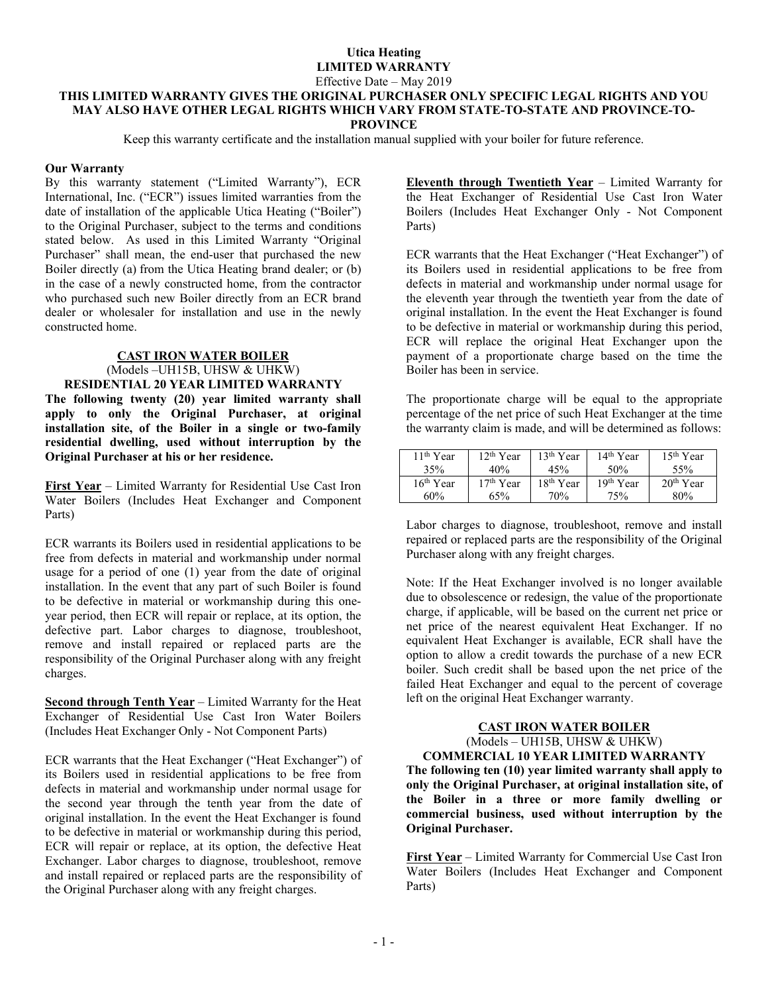# **Utica Heating LIMITED WARRANTY**

#### Effective Date – May 2019

#### **THIS LIMITED WARRANTY GIVES THE ORIGINAL PURCHASER ONLY SPECIFIC LEGAL RIGHTS AND YOU MAY ALSO HAVE OTHER LEGAL RIGHTS WHICH VARY FROM STATE-TO-STATE AND PROVINCE-TO-PROVINCE**

Keep this warranty certificate and the installation manual supplied with your boiler for future reference.

#### **Our Warranty**

By this warranty statement ("Limited Warranty"), ECR International, Inc. ("ECR") issues limited warranties from the date of installation of the applicable Utica Heating ("Boiler") to the Original Purchaser, subject to the terms and conditions stated below. As used in this Limited Warranty "Original Purchaser" shall mean, the end-user that purchased the new Boiler directly (a) from the Utica Heating brand dealer; or (b) in the case of a newly constructed home, from the contractor who purchased such new Boiler directly from an ECR brand dealer or wholesaler for installation and use in the newly constructed home.

# **CAST IRON WATER BOILER**

# (Models –UH15B, UHSW & UHKW) **RESIDENTIAL 20 YEAR LIMITED WARRANTY The following twenty (20) year limited warranty shall apply to only the Original Purchaser, at original installation site, of the Boiler in a single or two-family residential dwelling, used without interruption by the Original Purchaser at his or her residence.**

**First Year** – Limited Warranty for Residential Use Cast Iron Water Boilers (Includes Heat Exchanger and Component Parts)

ECR warrants its Boilers used in residential applications to be free from defects in material and workmanship under normal usage for a period of one (1) year from the date of original installation. In the event that any part of such Boiler is found to be defective in material or workmanship during this oneyear period, then ECR will repair or replace, at its option, the defective part. Labor charges to diagnose, troubleshoot, remove and install repaired or replaced parts are the responsibility of the Original Purchaser along with any freight charges.

**Second through Tenth Year** – Limited Warranty for the Heat Exchanger of Residential Use Cast Iron Water Boilers (Includes Heat Exchanger Only - Not Component Parts)

ECR warrants that the Heat Exchanger ("Heat Exchanger") of its Boilers used in residential applications to be free from defects in material and workmanship under normal usage for the second year through the tenth year from the date of original installation. In the event the Heat Exchanger is found to be defective in material or workmanship during this period, ECR will repair or replace, at its option, the defective Heat Exchanger. Labor charges to diagnose, troubleshoot, remove and install repaired or replaced parts are the responsibility of the Original Purchaser along with any freight charges.

**Eleventh through Twentieth Year** – Limited Warranty for the Heat Exchanger of Residential Use Cast Iron Water Boilers (Includes Heat Exchanger Only - Not Component Parts)

ECR warrants that the Heat Exchanger ("Heat Exchanger") of its Boilers used in residential applications to be free from defects in material and workmanship under normal usage for the eleventh year through the twentieth year from the date of original installation. In the event the Heat Exchanger is found to be defective in material or workmanship during this period, ECR will replace the original Heat Exchanger upon the payment of a proportionate charge based on the time the Boiler has been in service.

The proportionate charge will be equal to the appropriate percentage of the net price of such Heat Exchanger at the time the warranty claim is made, and will be determined as follows:

| 11 <sup>th</sup> Year | $12th$ Year | $13th$ Year           | $14th$ Year           | $15th$ Year |
|-----------------------|-------------|-----------------------|-----------------------|-------------|
| 35%                   | 40%         | 45%                   | 50%                   | 55%         |
| 16 <sup>th</sup> Year | $17th$ Year | 18 <sup>th</sup> Year | 19 <sup>th</sup> Year | $20th$ Year |
| 60%                   | 65%         | 70%                   | 75%                   | 80%         |

Labor charges to diagnose, troubleshoot, remove and install repaired or replaced parts are the responsibility of the Original Purchaser along with any freight charges.

Note: If the Heat Exchanger involved is no longer available due to obsolescence or redesign, the value of the proportionate charge, if applicable, will be based on the current net price or net price of the nearest equivalent Heat Exchanger. If no equivalent Heat Exchanger is available, ECR shall have the option to allow a credit towards the purchase of a new ECR boiler. Such credit shall be based upon the net price of the failed Heat Exchanger and equal to the percent of coverage left on the original Heat Exchanger warranty.

# **CAST IRON WATER BOILER**  (Models – UH15B, UHSW & UHKW)

**COMMERCIAL 10 YEAR LIMITED WARRANTY The following ten (10) year limited warranty shall apply to only the Original Purchaser, at original installation site, of the Boiler in a three or more family dwelling or commercial business, used without interruption by the Original Purchaser.** 

**First Year** – Limited Warranty for Commercial Use Cast Iron Water Boilers (Includes Heat Exchanger and Component Parts)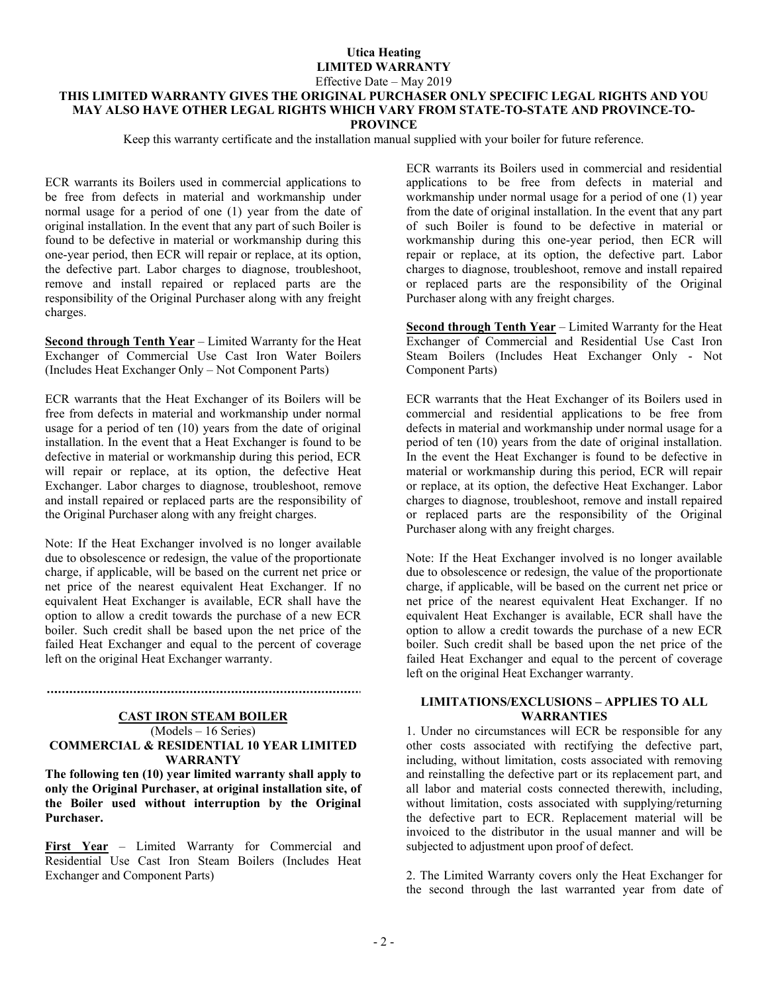## **Utica Heating LIMITED WARRANTY**  Effective Date – May 2019

# **THIS LIMITED WARRANTY GIVES THE ORIGINAL PURCHASER ONLY SPECIFIC LEGAL RIGHTS AND YOU MAY ALSO HAVE OTHER LEGAL RIGHTS WHICH VARY FROM STATE-TO-STATE AND PROVINCE-TO-PROVINCE**

Keep this warranty certificate and the installation manual supplied with your boiler for future reference.

ECR warrants its Boilers used in commercial applications to be free from defects in material and workmanship under normal usage for a period of one (1) year from the date of original installation. In the event that any part of such Boiler is found to be defective in material or workmanship during this one-year period, then ECR will repair or replace, at its option, the defective part. Labor charges to diagnose, troubleshoot, remove and install repaired or replaced parts are the responsibility of the Original Purchaser along with any freight charges.

**Second through Tenth Year** – Limited Warranty for the Heat Exchanger of Commercial Use Cast Iron Water Boilers (Includes Heat Exchanger Only – Not Component Parts)

ECR warrants that the Heat Exchanger of its Boilers will be free from defects in material and workmanship under normal usage for a period of ten (10) years from the date of original installation. In the event that a Heat Exchanger is found to be defective in material or workmanship during this period, ECR will repair or replace, at its option, the defective Heat Exchanger. Labor charges to diagnose, troubleshoot, remove and install repaired or replaced parts are the responsibility of the Original Purchaser along with any freight charges.

Note: If the Heat Exchanger involved is no longer available due to obsolescence or redesign, the value of the proportionate charge, if applicable, will be based on the current net price or net price of the nearest equivalent Heat Exchanger. If no equivalent Heat Exchanger is available, ECR shall have the option to allow a credit towards the purchase of a new ECR boiler. Such credit shall be based upon the net price of the failed Heat Exchanger and equal to the percent of coverage left on the original Heat Exchanger warranty.

#### **CAST IRON STEAM BOILER**  (Models – 16 Series) **COMMERCIAL & RESIDENTIAL 10 YEAR LIMITED WARRANTY**

**The following ten (10) year limited warranty shall apply to only the Original Purchaser, at original installation site, of the Boiler used without interruption by the Original Purchaser.** 

**First Year** – Limited Warranty for Commercial and Residential Use Cast Iron Steam Boilers (Includes Heat Exchanger and Component Parts)

ECR warrants its Boilers used in commercial and residential applications to be free from defects in material and workmanship under normal usage for a period of one (1) year from the date of original installation. In the event that any part of such Boiler is found to be defective in material or workmanship during this one-year period, then ECR will repair or replace, at its option, the defective part. Labor charges to diagnose, troubleshoot, remove and install repaired or replaced parts are the responsibility of the Original Purchaser along with any freight charges.

**Second through Tenth Year** – Limited Warranty for the Heat Exchanger of Commercial and Residential Use Cast Iron Steam Boilers (Includes Heat Exchanger Only - Not Component Parts)

ECR warrants that the Heat Exchanger of its Boilers used in commercial and residential applications to be free from defects in material and workmanship under normal usage for a period of ten (10) years from the date of original installation. In the event the Heat Exchanger is found to be defective in material or workmanship during this period, ECR will repair or replace, at its option, the defective Heat Exchanger. Labor charges to diagnose, troubleshoot, remove and install repaired or replaced parts are the responsibility of the Original Purchaser along with any freight charges.

Note: If the Heat Exchanger involved is no longer available due to obsolescence or redesign, the value of the proportionate charge, if applicable, will be based on the current net price or net price of the nearest equivalent Heat Exchanger. If no equivalent Heat Exchanger is available, ECR shall have the option to allow a credit towards the purchase of a new ECR boiler. Such credit shall be based upon the net price of the failed Heat Exchanger and equal to the percent of coverage left on the original Heat Exchanger warranty.

#### **LIMITATIONS/EXCLUSIONS – APPLIES TO ALL WARRANTIES**

1. Under no circumstances will ECR be responsible for any other costs associated with rectifying the defective part, including, without limitation, costs associated with removing and reinstalling the defective part or its replacement part, and all labor and material costs connected therewith, including, without limitation, costs associated with supplying/returning the defective part to ECR. Replacement material will be invoiced to the distributor in the usual manner and will be subjected to adjustment upon proof of defect.

2. The Limited Warranty covers only the Heat Exchanger for the second through the last warranted year from date of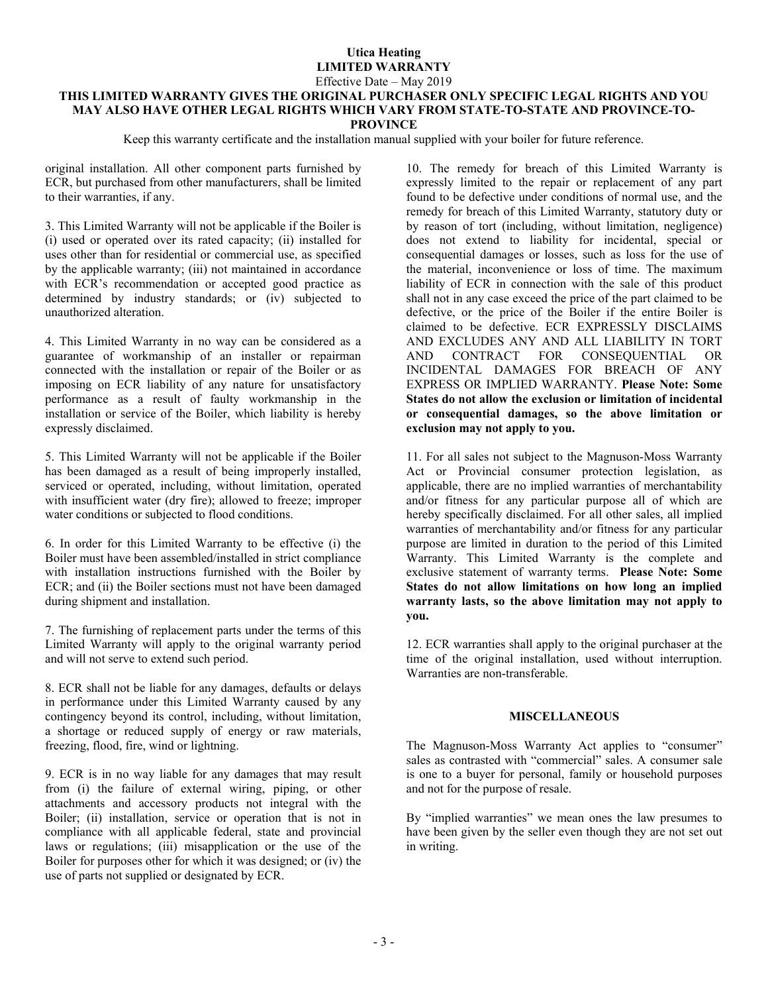# **Utica Heating LIMITED WARRANTY**  Effective Date – May 2019

# **THIS LIMITED WARRANTY GIVES THE ORIGINAL PURCHASER ONLY SPECIFIC LEGAL RIGHTS AND YOU MAY ALSO HAVE OTHER LEGAL RIGHTS WHICH VARY FROM STATE-TO-STATE AND PROVINCE-TO-PROVINCE**

Keep this warranty certificate and the installation manual supplied with your boiler for future reference.

original installation. All other component parts furnished by ECR, but purchased from other manufacturers, shall be limited to their warranties, if any.

3. This Limited Warranty will not be applicable if the Boiler is (i) used or operated over its rated capacity; (ii) installed for uses other than for residential or commercial use, as specified by the applicable warranty; (iii) not maintained in accordance with ECR's recommendation or accepted good practice as determined by industry standards; or (iv) subjected to unauthorized alteration.

4. This Limited Warranty in no way can be considered as a guarantee of workmanship of an installer or repairman connected with the installation or repair of the Boiler or as imposing on ECR liability of any nature for unsatisfactory performance as a result of faulty workmanship in the installation or service of the Boiler, which liability is hereby expressly disclaimed.

5. This Limited Warranty will not be applicable if the Boiler has been damaged as a result of being improperly installed, serviced or operated, including, without limitation, operated with insufficient water (dry fire); allowed to freeze; improper water conditions or subjected to flood conditions.

6. In order for this Limited Warranty to be effective (i) the Boiler must have been assembled/installed in strict compliance with installation instructions furnished with the Boiler by ECR; and (ii) the Boiler sections must not have been damaged during shipment and installation.

7. The furnishing of replacement parts under the terms of this Limited Warranty will apply to the original warranty period and will not serve to extend such period.

8. ECR shall not be liable for any damages, defaults or delays in performance under this Limited Warranty caused by any contingency beyond its control, including, without limitation, a shortage or reduced supply of energy or raw materials, freezing, flood, fire, wind or lightning.

9. ECR is in no way liable for any damages that may result from (i) the failure of external wiring, piping, or other attachments and accessory products not integral with the Boiler; (ii) installation, service or operation that is not in compliance with all applicable federal, state and provincial laws or regulations; (iii) misapplication or the use of the Boiler for purposes other for which it was designed; or (iv) the use of parts not supplied or designated by ECR.

10. The remedy for breach of this Limited Warranty is expressly limited to the repair or replacement of any part found to be defective under conditions of normal use, and the remedy for breach of this Limited Warranty, statutory duty or by reason of tort (including, without limitation, negligence) does not extend to liability for incidental, special or consequential damages or losses, such as loss for the use of the material, inconvenience or loss of time. The maximum liability of ECR in connection with the sale of this product shall not in any case exceed the price of the part claimed to be defective, or the price of the Boiler if the entire Boiler is claimed to be defective. ECR EXPRESSLY DISCLAIMS AND EXCLUDES ANY AND ALL LIABILITY IN TORT AND CONTRACT FOR CONSEQUENTIAL OR INCIDENTAL DAMAGES FOR BREACH OF ANY EXPRESS OR IMPLIED WARRANTY. **Please Note: Some States do not allow the exclusion or limitation of incidental or consequential damages, so the above limitation or exclusion may not apply to you.** 

11. For all sales not subject to the Magnuson-Moss Warranty Act or Provincial consumer protection legislation, as applicable, there are no implied warranties of merchantability and/or fitness for any particular purpose all of which are hereby specifically disclaimed. For all other sales, all implied warranties of merchantability and/or fitness for any particular purpose are limited in duration to the period of this Limited Warranty. This Limited Warranty is the complete and exclusive statement of warranty terms. **Please Note: Some States do not allow limitations on how long an implied warranty lasts, so the above limitation may not apply to you.** 

12. ECR warranties shall apply to the original purchaser at the time of the original installation, used without interruption. Warranties are non-transferable.

#### **MISCELLANEOUS**

The Magnuson-Moss Warranty Act applies to "consumer" sales as contrasted with "commercial" sales. A consumer sale is one to a buyer for personal, family or household purposes and not for the purpose of resale.

By "implied warranties" we mean ones the law presumes to have been given by the seller even though they are not set out in writing.